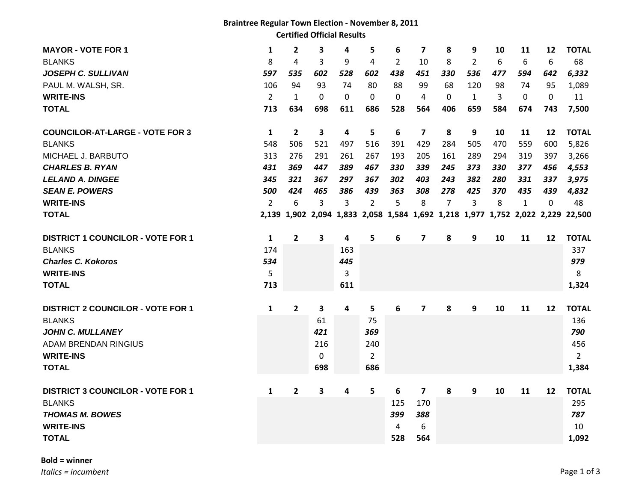## **Braintree Regular Town Election - November 8, 2011 Certified Official Results**

| <b>MAYOR - VOTE FOR 1</b>                | 1              | $\overline{\mathbf{2}}$ | 3   | 4   | 5              | 6   | 7   | 8              | 9              | 10  | 11           | 12           | <b>TOTAL</b>                                                                   |
|------------------------------------------|----------------|-------------------------|-----|-----|----------------|-----|-----|----------------|----------------|-----|--------------|--------------|--------------------------------------------------------------------------------|
| <b>BLANKS</b>                            | 8              | 4                       | 3   | 9   | 4              | 2   | 10  | 8              | $\overline{2}$ | 6   | 6            | 6            | 68                                                                             |
| <b>JOSEPH C. SULLIVAN</b>                | 597            | 535                     | 602 | 528 | 602            | 438 | 451 | 330            | 536            | 477 | 594          | 642          | 6,332                                                                          |
| PAUL M. WALSH, SR.                       | 106            | 94                      | 93  | 74  | 80             | 88  | 99  | 68             | 120            | 98  | 74           | 95           | 1,089                                                                          |
| <b>WRITE-INS</b>                         | $\overline{2}$ | $\mathbf{1}$            | 0   | 0   | 0              | 0   | 4   | 0              | $\mathbf{1}$   | 3   | $\mathbf 0$  | $\mathbf{0}$ | 11                                                                             |
| <b>TOTAL</b>                             | 713            | 634                     | 698 | 611 | 686            | 528 | 564 | 406            | 659            | 584 | 674          | 743          | 7,500                                                                          |
| <b>COUNCILOR-AT-LARGE - VOTE FOR 3</b>   | 1              | $\overline{2}$          | 3   | 4   | 5              | 6   | 7   | 8              | 9              | 10  | 11           | 12           | <b>TOTAL</b>                                                                   |
| <b>BLANKS</b>                            | 548            | 506                     | 521 | 497 | 516            | 391 | 429 | 284            | 505            | 470 | 559          | 600          | 5,826                                                                          |
| MICHAEL J. BARBUTO                       | 313            | 276                     | 291 | 261 | 267            | 193 | 205 | 161            | 289            | 294 | 319          | 397          | 3,266                                                                          |
| <b>CHARLES B. RYAN</b>                   | 431            | 369                     | 447 | 389 | 467            | 330 | 339 | 245            | 373            | 330 | 377          | 456          | 4,553                                                                          |
| <b>LELAND A. DINGEE</b>                  | 345            | 321                     | 367 | 297 | 367            | 302 | 403 | 243            | 382            | 280 | 331          | 337          | 3,975                                                                          |
| <b>SEAN E. POWERS</b>                    | 500            | 424                     | 465 | 386 | 439            | 363 | 308 | 278            | 425            | 370 | 435          | 439          | 4,832                                                                          |
| <b>WRITE-INS</b>                         | $\overline{2}$ | 6                       | 3   | 3   | 2              | 5   | 8   | $\overline{7}$ | 3              | 8   | $\mathbf{1}$ | $\Omega$     | 48                                                                             |
| <b>TOTAL</b>                             |                |                         |     |     |                |     |     |                |                |     |              |              | 2,139 1,902 2,094 1,833 2,058 1,584 1,692 1,218 1,977 1,752 2,022 2,229 22,500 |
| <b>DISTRICT 1 COUNCILOR - VOTE FOR 1</b> | 1              | $\overline{2}$          | 3   | 4   | 5              | 6   | 7   | 8              | 9              | 10  | 11           | 12           | <b>TOTAL</b>                                                                   |
| <b>BLANKS</b>                            | 174            |                         |     | 163 |                |     |     |                |                |     |              |              | 337                                                                            |
| <b>Charles C. Kokoros</b>                | 534            |                         |     | 445 |                |     |     |                |                |     |              |              | 979                                                                            |
| <b>WRITE-INS</b>                         | 5              |                         |     | 3   |                |     |     |                |                |     |              |              | 8                                                                              |
| <b>TOTAL</b>                             | 713            |                         |     | 611 |                |     |     |                |                |     |              |              | 1,324                                                                          |
| <b>DISTRICT 2 COUNCILOR - VOTE FOR 1</b> | 1              | $\overline{2}$          | 3   | 4   | 5              | 6   | 7   | 8              | 9              | 10  | 11           | 12           | <b>TOTAL</b>                                                                   |
| <b>BLANKS</b>                            |                |                         | 61  |     | 75             |     |     |                |                |     |              |              | 136                                                                            |
| <b>JOHN C. MULLANEY</b>                  |                |                         | 421 |     | 369            |     |     |                |                |     |              |              | 790                                                                            |
| ADAM BRENDAN RINGIUS                     |                |                         | 216 |     | 240            |     |     |                |                |     |              |              | 456                                                                            |
| <b>WRITE-INS</b>                         |                |                         | 0   |     | $\overline{2}$ |     |     |                |                |     |              |              | $2^{\circ}$                                                                    |
| <b>TOTAL</b>                             |                |                         | 698 |     | 686            |     |     |                |                |     |              |              | 1,384                                                                          |
| <b>DISTRICT 3 COUNCILOR - VOTE FOR 1</b> | 1              | $\overline{2}$          | 3   | 4   | 5              | 6   | 7   | 8              | 9              | 10  | 11           | 12           | <b>TOTAL</b>                                                                   |
| <b>BLANKS</b>                            |                |                         |     |     |                | 125 | 170 |                |                |     |              |              | 295                                                                            |
| <b>THOMAS M. BOWES</b>                   |                |                         |     |     |                | 399 | 388 |                |                |     |              |              | 787                                                                            |
| <b>WRITE-INS</b>                         |                |                         |     |     |                | 4   | 6   |                |                |     |              |              | 10                                                                             |
| <b>TOTAL</b>                             |                |                         |     |     |                | 528 | 564 |                |                |     |              |              | 1,092                                                                          |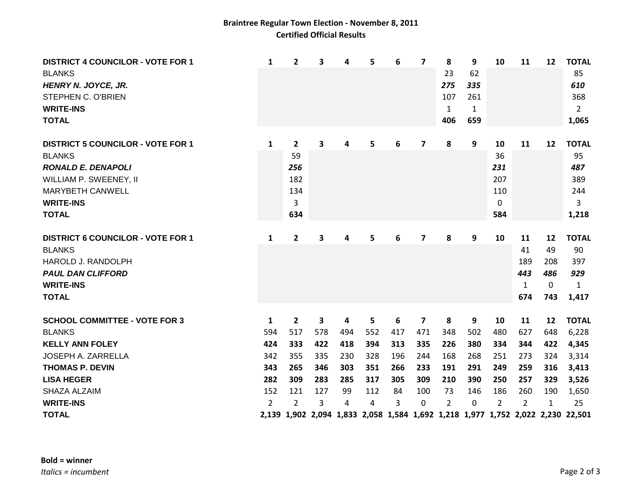## **Braintree Regular Town Election - November 8, 2011 Certified Official Results**

| <b>DISTRICT 4 COUNCILOR - VOTE FOR 1</b><br><b>BLANKS</b><br>HENRY N. JOYCE, JR.<br>STEPHEN C. O'BRIEN<br><b>WRITE-INS</b><br><b>TOTAL</b> | 1   | $\overline{\mathbf{2}}$ | 3   | 4   | 5   | 6   | $\overline{\mathbf{z}}$ | 8<br>23<br>275<br>107<br>$\mathbf{1}$<br>406 | 9<br>62<br>335<br>261<br>$\mathbf{1}$<br>659 | 10             | 11  | 12  | <b>TOTAL</b><br>85<br>610<br>368<br>$\overline{2}$<br>1,065                    |
|--------------------------------------------------------------------------------------------------------------------------------------------|-----|-------------------------|-----|-----|-----|-----|-------------------------|----------------------------------------------|----------------------------------------------|----------------|-----|-----|--------------------------------------------------------------------------------|
| <b>DISTRICT 5 COUNCILOR - VOTE FOR 1</b>                                                                                                   | 1   | $\overline{2}$          | 3   | 4   | 5   | 6   | 7                       | 8                                            | 9                                            | 10             | 11  | 12  | <b>TOTAL</b>                                                                   |
| <b>BLANKS</b>                                                                                                                              |     | 59                      |     |     |     |     |                         |                                              |                                              | 36             |     |     | 95                                                                             |
| <b>RONALD E. DENAPOLI</b>                                                                                                                  |     | 256                     |     |     |     |     |                         |                                              |                                              | 231            |     |     | 487                                                                            |
| WILLIAM P. SWEENEY, II                                                                                                                     |     | 182                     |     |     |     |     |                         |                                              |                                              | 207            |     |     | 389                                                                            |
| <b>MARYBETH CANWELL</b>                                                                                                                    |     | 134                     |     |     |     |     |                         |                                              |                                              | 110            |     |     | 244                                                                            |
| <b>WRITE-INS</b>                                                                                                                           |     | 3                       |     |     |     |     |                         |                                              |                                              | 0              |     |     | 3                                                                              |
| <b>TOTAL</b>                                                                                                                               |     | 634                     |     |     |     |     |                         |                                              |                                              | 584            |     |     | 1,218                                                                          |
| <b>DISTRICT 6 COUNCILOR - VOTE FOR 1</b>                                                                                                   | 1   | $\overline{2}$          | 3   | 4   | 5   | 6   | 7                       | 8                                            | 9                                            | 10             | 11  | 12  | <b>TOTAL</b>                                                                   |
| <b>BLANKS</b>                                                                                                                              |     |                         |     |     |     |     |                         |                                              |                                              |                | 41  | 49  | 90                                                                             |
| HAROLD J. RANDOLPH                                                                                                                         |     |                         |     |     |     |     |                         |                                              |                                              |                | 189 | 208 | 397                                                                            |
| <b>PAUL DAN CLIFFORD</b>                                                                                                                   |     |                         |     |     |     |     |                         |                                              |                                              |                | 443 | 486 | 929                                                                            |
| <b>WRITE-INS</b>                                                                                                                           |     |                         |     |     |     |     |                         |                                              |                                              |                | 1   | 0   | 1                                                                              |
| <b>TOTAL</b>                                                                                                                               |     |                         |     |     |     |     |                         |                                              |                                              |                | 674 | 743 | 1,417                                                                          |
| <b>SCHOOL COMMITTEE - VOTE FOR 3</b>                                                                                                       | 1   | $\overline{2}$          | 3   | 4   | 5   | 6   | 7                       | 8                                            | 9                                            | 10             | 11  | 12  | <b>TOTAL</b>                                                                   |
| <b>BLANKS</b>                                                                                                                              | 594 | 517                     | 578 | 494 | 552 | 417 | 471                     | 348                                          | 502                                          | 480            | 627 | 648 | 6,228                                                                          |
| <b>KELLY ANN FOLEY</b>                                                                                                                     | 424 | 333                     | 422 | 418 | 394 | 313 | 335                     | 226                                          | 380                                          | 334            | 344 | 422 | 4,345                                                                          |
| JOSEPH A. ZARRELLA                                                                                                                         | 342 | 355                     | 335 | 230 | 328 | 196 | 244                     | 168                                          | 268                                          | 251            | 273 | 324 | 3,314                                                                          |
| <b>THOMAS P. DEVIN</b>                                                                                                                     | 343 | 265                     | 346 | 303 | 351 | 266 | 233                     | 191                                          | 291                                          | 249            | 259 | 316 | 3,413                                                                          |
| <b>LISA HEGER</b>                                                                                                                          | 282 | 309                     | 283 | 285 | 317 | 305 | 309                     | 210                                          | 390                                          | 250            | 257 | 329 | 3,526                                                                          |
| SHAZA ALZAIM                                                                                                                               | 152 | 121                     | 127 | 99  | 112 | 84  | 100                     | 73                                           | 146                                          | 186            | 260 | 190 | 1,650                                                                          |
| <b>WRITE-INS</b>                                                                                                                           | 2   | $\overline{2}$          | 3   | 4   | 4   | 3   | 0                       | $\overline{2}$                               | 0                                            | $\overline{2}$ | 2   | 1   | 25                                                                             |
| <b>TOTAL</b>                                                                                                                               |     |                         |     |     |     |     |                         |                                              |                                              |                |     |     | 2,139 1,902 2,094 1,833 2,058 1,584 1,692 1,218 1,977 1,752 2,022 2,230 22,501 |